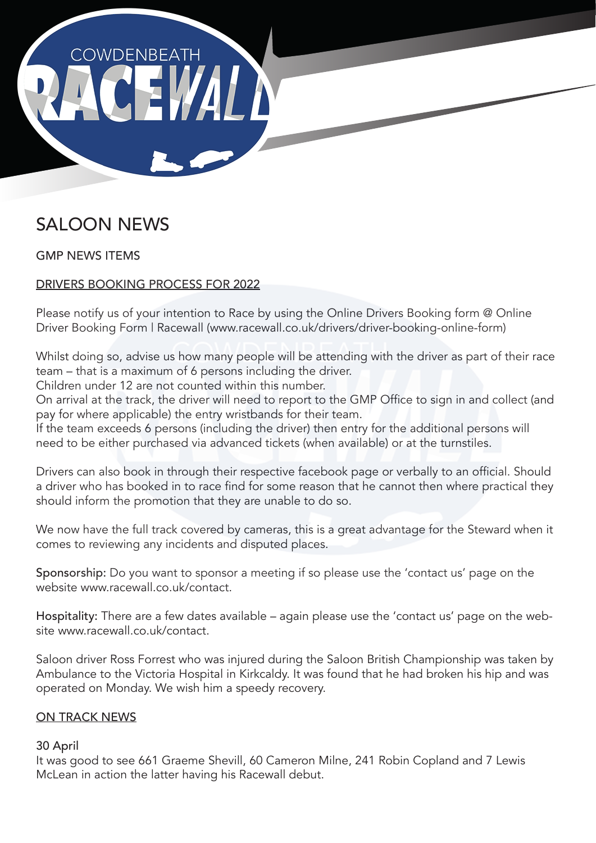

# SALOON NEWS

GMP NEWS ITEMS

# DRIVERS BOOKING PROCESS FOR 2022

Please notify us of your intention to Race by using the Online Drivers Booking form @ Online Driver Booking Form | Racewall (www.racewall.co.uk/drivers/driver-booking-online-form)

Whilst doing so, advise us how many people will be attending with the driver as part of their race team – that is a maximum of 6 persons including the driver.

Children under 12 are not counted within this number.

On arrival at the track, the driver will need to report to the GMP Office to sign in and collect (and pay for where applicable) the entry wristbands for their team.

If the team exceeds 6 persons (including the driver) then entry for the additional persons will need to be either purchased via advanced tickets (when available) or at the turnstiles.

Drivers can also book in through their respective facebook page or verbally to an official. Should a driver who has booked in to race find for some reason that he cannot then where practical they should inform the promotion that they are unable to do so.

We now have the full track covered by cameras, this is a great advantage for the Steward when it comes to reviewing any incidents and disputed places.

Sponsorship: Do you want to sponsor a meeting if so please use the 'contact us' page on the website www.racewall.co.uk/contact.

Hospitality: There are a few dates available – again please use the 'contact us' page on the website www.racewall.co.uk/contact

Saloon driver Ross Forrest who was injured during the Saloon British Championship was taken by Ambulance to the Victoria Hospital in Kirkcaldy. It was found that he had broken his hip and was operated on Monday. We wish him a speedy recovery.

# ON TRACK NEWS

#### 30 April

It was good to see 661 Graeme Shevill, 60 Cameron Milne, 241 Robin Copland and 7 Lewis McLean in action the latter having his Racewall debut.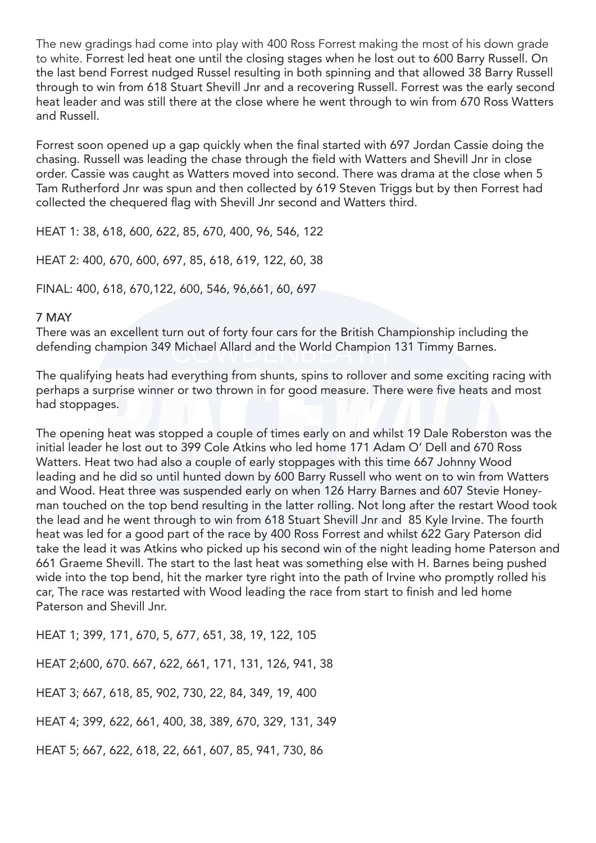The new gradings had come into play with 400 Ross Forrest making the most of his down grade to white. Forrest led heat one until the closing stages when he lost out to 600 Barry Russell. On the last bend Forrest nudged Russel resulting in both spinning and that allowed 38 Barry Russell through to win from 618 Stuart Shevill Jnr and a recovering Russell. Forrest was the early second heat leader and was still there at the close where he went through to win from 670 Ross Watters and Russell.

Forrest soon opened up a gap quickly when the final started with 697 Jordan Cassie doing the chasing. Russell was leading the chase through the field with Watters and Shevill Jnr in close order. Cassie was caught as Watters moved into second. There was drama at the close when 5 Tam Rutherford Jnr was spun and then collected by 619 Steven Triggs but by then Forrest had collected the chequered flag with Shevill Jnr second and Watters third.

HEAT 1: 38, 618, 600, 622, 85, 670, 400, 96, 546, 122

HEAT 2: 400, 670, 600, 697, 85, 618, 619, 122, 60, 38

FINAL: 400, 618, 670,122, 600, 546, 96,661, 60, 697

#### 7 MAY

There was an excellent turn out of forty four cars for the British Championship including the defending champion 349 Michael Allard and the World Champion 131 Timmy Barnes.

The qualifying heats had everything from shunts, spins to rollover and some exciting racing with perhaps a surprise winner or two thrown in for good measure. There were five heats and most had stoppages.

The opening heat was stopped a couple of times early on and whilst 19 Dale Roberston was the initial leader he lost out to 399 Cole Atkins who led home 171 Adam O' Dell and 670 Ross Watters. Heat two had also a couple of early stoppages with this time 667 Johnny Wood leading and he did so until hunted down by 600 Barry Russell who went on to win from Watters and Wood. Heat three was suspended early on when 126 Harry Barnes and 607 Stevie Honeyman touched on the top bend resulting in the latter rolling. Not long after the restart Wood took the lead and he went through to win from 618 Stuart Shevill Jnr and 85 Kyle Irvine. The fourth heat was led for a good part of the race by 400 Ross Forrest and whilst 622 Gary Paterson did take the lead it was Atkins who picked up his second win of the night leading home Paterson and 661 Graeme Shevill. The start to the last heat was something else with H. Barnes being pushed wide into the top bend, hit the marker tyre right into the path of Irvine who promptly rolled his car, The race was restarted with Wood leading the race from start to finish and led home Paterson and Shevill Jnr.

HEAT 1; 399, 171, 670, 5, 677, 651, 38, 19, 122, 105

HEAT 2;600, 670. 667, 622, 661, 171, 131, 126, 941, 38

HEAT 3; 667, 618, 85, 902, 730, 22, 84, 349, 19, 400

HEAT 4; 399, 622, 661, 400, 38, 389, 670, 329, 131, 349

HEAT 5; 667, 622, 618, 22, 661, 607, 85, 941, 730, 86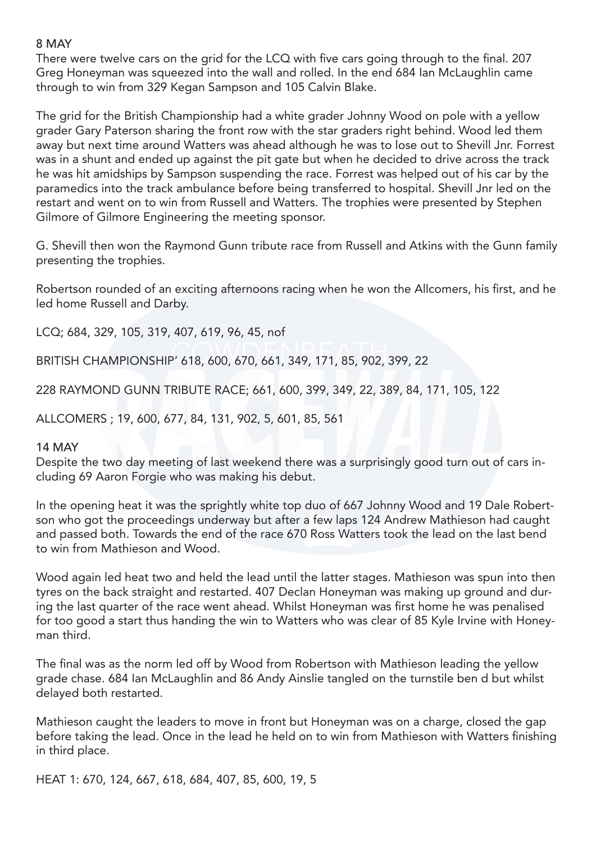## 8 MAY

There were twelve cars on the grid for the LCQ with five cars going through to the final. 207 Greg Honeyman was squeezed into the wall and rolled. In the end 684 Ian McLaughlin came through to win from 329 Kegan Sampson and 105 Calvin Blake.

The grid for the British Championship had a white grader Johnny Wood on pole with a yellow grader Gary Paterson sharing the front row with the star graders right behind. Wood led them away but next time around Watters was ahead although he was to lose out to Shevill Jnr. Forrest was in a shunt and ended up against the pit gate but when he decided to drive across the track he was hit amidships by Sampson suspending the race. Forrest was helped out of his car by the paramedics into the track ambulance before being transferred to hospital. Shevill Jnr led on the restart and went on to win from Russell and Watters. The trophies were presented by Stephen Gilmore of Gilmore Engineering the meeting sponsor.

G. Shevill then won the Raymond Gunn tribute race from Russell and Atkins with the Gunn family presenting the trophies.

Robertson rounded of an exciting afternoons racing when he won the Allcomers, his first, and he led home Russell and Darby.

LCQ; 684, 329, 105, 319, 407, 619, 96, 45, nof

BRITISH CHAMPIONSHIP' 618, 600, 670, 661, 349, 171, 85, 902, 399, 22

228 RAYMOND GUNN TRIBUTE RACE; 661, 600, 399, 349, 22, 389, 84, 171, 105, 122

ALLCOMERS ; 19, 600, 677, 84, 131, 902, 5, 601, 85, 561

#### 14 MAY

Despite the two day meeting of last weekend there was a surprisingly good turn out of cars including 69 Aaron Forgie who was making his debut.

In the opening heat it was the sprightly white top duo of 667 Johnny Wood and 19 Dale Robertson who got the proceedings underway but after a few laps 124 Andrew Mathieson had caught and passed both. Towards the end of the race 670 Ross Watters took the lead on the last bend to win from Mathieson and Wood.

Wood again led heat two and held the lead until the latter stages. Mathieson was spun into then tyres on the back straight and restarted. 407 Declan Honeyman was making up ground and during the last quarter of the race went ahead. Whilst Honeyman was first home he was penalised for too good a start thus handing the win to Watters who was clear of 85 Kyle Irvine with Honeyman third.

The final was as the norm led off by Wood from Robertson with Mathieson leading the yellow grade chase. 684 Ian McLaughlin and 86 Andy Ainslie tangled on the turnstile ben d but whilst delayed both restarted.

Mathieson caught the leaders to move in front but Honeyman was on a charge, closed the gap before taking the lead. Once in the lead he held on to win from Mathieson with Watters finishing in third place.

HEAT 1: 670, 124, 667, 618, 684, 407, 85, 600, 19, 5